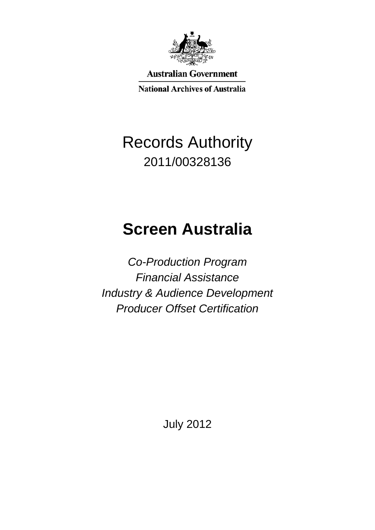

**Australian Government** 

**National Archives of Australia** 

## Records Authority 2011/00328136

# **Screen Australia**

*Co-Production Program Financial Assistance Industry & Audience Development Producer Offset Certification*

July 2012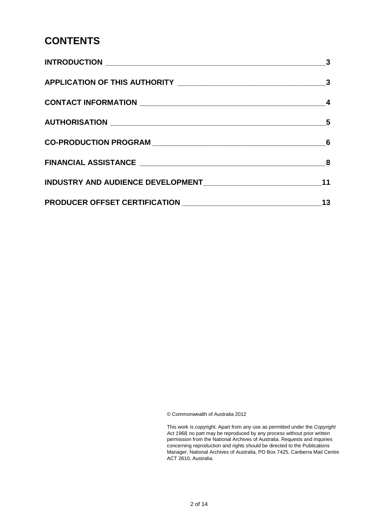#### **CONTENTS**

| $\overline{\mathbf{3}}$ |
|-------------------------|
|                         |
|                         |
| $\sim$ 5                |
|                         |
|                         |
| 11                      |
| 13                      |

© Commonwealth of Australia 2012

This work is copyright. Apart from any use as permitted under the *Copyright Act 1968,* no part may be reproduced by any process without prior written permission from the National Archives of Australia. Requests and inquiries concerning reproduction and rights should be directed to the Publications Manager, National Archives of Australia, PO Box 7425, Canberra Mail Centre ACT 2610, Australia.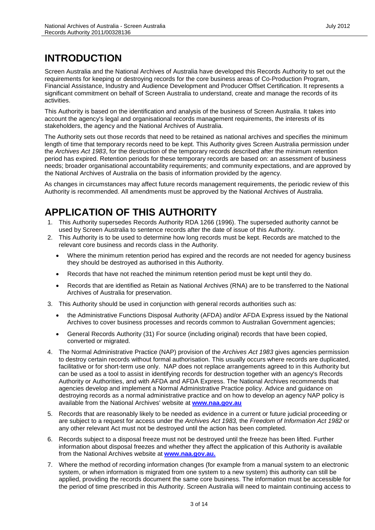#### **INTRODUCTION**

Screen Australia and the National Archives of Australia have developed this Records Authority to set out the requirements for keeping or destroying records for the core business areas of Co-Production Program, Financial Assistance, Industry and Audience Development and Producer Offset Certification. It represents a significant commitment on behalf of Screen Australia to understand, create and manage the records of its activities.

This Authority is based on the identification and analysis of the business of Screen Australia. It takes into account the agency's legal and organisational records management requirements, the interests of its stakeholders, the agency and the National Archives of Australia.

The Authority sets out those records that need to be retained as national archives and specifies the minimum length of time that temporary records need to be kept. This Authority gives Screen Australia permission under the *Archives Act 1983*, for the destruction of the temporary records described after the minimum retention period has expired. Retention periods for these temporary records are based on: an assessment of business needs; broader organisational accountability requirements; and community expectations, and are approved by the National Archives of Australia on the basis of information provided by the agency.

As changes in circumstances may affect future records management requirements, the periodic review of this Authority is recommended. All amendments must be approved by the National Archives of Australia.

#### **APPLICATION OF THIS AUTHORITY**

- 1. This Authority supersedes Records Authority RDA 1266 (1996). The superseded authority cannot be used by Screen Australia to sentence records after the date of issue of this Authority.
- 2. This Authority is to be used to determine how long records must be kept. Records are matched to the relevant core business and records class in the Authority.
	- Where the minimum retention period has expired and the records are not needed for agency business they should be destroyed as authorised in this Authority.
	- Records that have not reached the minimum retention period must be kept until they do.
	- Records that are identified as Retain as National Archives (RNA) are to be transferred to the National Archives of Australia for preservation.
- 3. This Authority should be used in conjunction with general records authorities such as:
	- the Administrative Functions Disposal Authority (AFDA) and/or AFDA Express issued by the National Archives to cover business processes and records common to Australian Government agencies;
	- General Records Authority (31) For source (including original) records that have been copied, converted or migrated.
- 4. The Normal Administrative Practice (NAP) provision of the *Archives Act 1983* gives agencies permission to destroy certain records without formal authorisation. This usually occurs where records are duplicated, facilitative or for short-term use only. NAP does not replace arrangements agreed to in this Authority but can be used as a tool to assist in identifying records for destruction together with an agency's Records Authority or Authorities, and with AFDA and AFDA Express. The National Archives recommends that agencies develop and implement a Normal Administrative Practice policy. Advice and guidance on destroying records as a normal administrative practice and on how to develop an agency NAP policy is available from the National Archives' website at **[www.naa.gov.au](http://www.naa.gov.au/)**
- 5. Records that are reasonably likely to be needed as evidence in a current or future judicial proceeding or are subject to a request for access under the *Archives Act 1983,* the *Freedom of Information Act 1982* or any other relevant Act must not be destroyed until the action has been completed.
- 6. Records subject to a disposal freeze must not be destroyed until the freeze has been lifted. Further information about disposal freezes and whether they affect the application of this Authority is available from the National Archives website at **[www.naa.gov.au.](http://www.naa.gov.au/)**
- 7. Where the method of recording information changes (for example from a manual system to an electronic system, or when information is migrated from one system to a new system) this authority can still be applied, providing the records document the same core business. The information must be accessible for the period of time prescribed in this Authority. Screen Australia will need to maintain continuing access to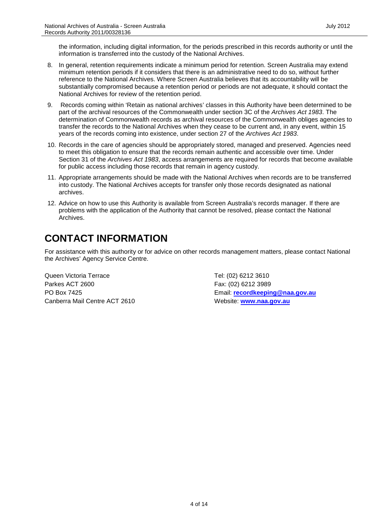the information, including digital information, for the periods prescribed in this records authority or until the information is transferred into the custody of the National Archives.

- 8. In general, retention requirements indicate a minimum period for retention. Screen Australia may extend minimum retention periods if it considers that there is an administrative need to do so, without further reference to the National Archives. Where Screen Australia believes that its accountability will be substantially compromised because a retention period or periods are not adequate, it should contact the National Archives for review of the retention period.
- 9. Records coming within 'Retain as national archives' classes in this Authority have been determined to be part of the archival resources of the Commonwealth under section 3C of the *Archives Act 1983*. The determination of Commonwealth records as archival resources of the Commonwealth obliges agencies to transfer the records to the National Archives when they cease to be current and, in any event, within 15 years of the records coming into existence, under section 27 of the *Archives Act 1983*.
- 10. Records in the care of agencies should be appropriately stored, managed and preserved. Agencies need to meet this obligation to ensure that the records remain authentic and accessible over time. Under Section 31 of the *Archives Act 1983*, access arrangements are required for records that become available for public access including those records that remain in agency custody.
- 11. Appropriate arrangements should be made with the National Archives when records are to be transferred into custody. The National Archives accepts for transfer only those records designated as national archives.
- 12. Advice on how to use this Authority is available from Screen Australia's records manager. If there are problems with the application of the Authority that cannot be resolved, please contact the National Archives.

#### **CONTACT INFORMATION**

For assistance with this authority or for advice on other records management matters, please contact National the Archives' Agency Service Centre.

Queen Victoria Terrace Tel: (02) 6212 3610 Parkes ACT 2600 Fax: (02) 6212 3989 Canberra Mail Centre ACT 2610 Website: [www.naa.gov.au](http://www.naa.gov.au/)

PO Box 7425 Email: **[recordkeeping@naa.gov.au](mailto:recordkeeping@naa.gov.au)**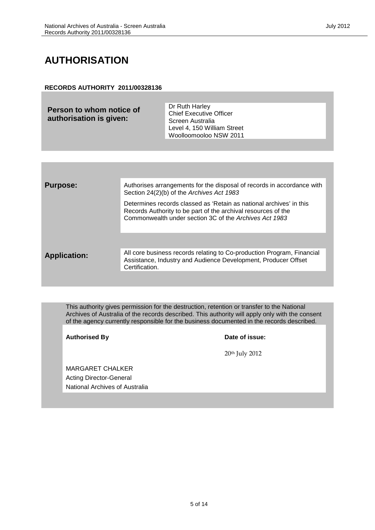#### **AUTHORISATION**

#### **RECORDS AUTHORITY 2011/00328136**

**Person to whom notice of authorisation is given:**

Dr Ruth Harley Chief Executive Officer Screen Australia Level 4, 150 William Street Woolloomooloo NSW 2011

| <b>Purpose:</b>     | Authorises arrangements for the disposal of records in accordance with<br>Section 24(2)(b) of the Archives Act 1983                                                                            |
|---------------------|------------------------------------------------------------------------------------------------------------------------------------------------------------------------------------------------|
|                     | Determines records classed as 'Retain as national archives' in this<br>Records Authority to be part of the archival resources of the<br>Commonwealth under section 3C of the Archives Act 1983 |
|                     |                                                                                                                                                                                                |
| <b>Application:</b> | All core business records relating to Co-production Program, Financial<br>Assistance, Industry and Audience Development, Producer Offset<br>Certification.                                     |
|                     |                                                                                                                                                                                                |

This authority gives permission for the destruction, retention or transfer to the National Archives of Australia of the records described. This authority will apply only with the consent of the agency currently responsible for the business documented in the records described.

Authorised By **Date of issue:** 

20th July 2012

MARGARET CHALKER Acting Director-General National Archives of Australia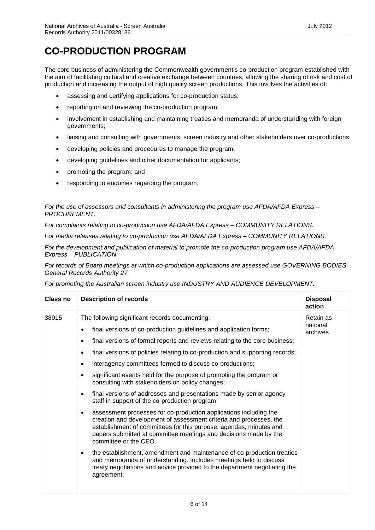#### **CO-PRODUCTION PROGRAM**

The core business of administering the Commonwealth government's co-production program established with the aim of facilitating cultural and creative exchange between countries, allowing the sharing of risk and cost of production and increasing the output of high quality screen productions. This involves the activities of:

- assessing and certifying applications for co-production status;
- reporting on and reviewing the co-production program;
- involvement in establishing and maintaining treaties and memoranda of understanding with foreign governments;
- liaising and consulting with governments, screen industry and other stakeholders over co-productions;
- developing policies and procedures to manage the program;
- developing guidelines and other documentation for applicants;
- promoting the program; and
- responding to enquiries regarding the program;

*For the use of assessors and consultants in administering the program use AFDA/AFDA Express – PROCUREMENT.*

*For complaints relating to co-production use AFDA/AFDA Express – COMMUNITY RELATIONS.*

*For media releases relating to co-production use AFDA/AFDA Express – COMMUNITY RELATIONS.*

*For the development and publication of material to promote the co-production program use AFDA/AFDA Express – PUBLICATION.*

*For records of Board meetings at which co-production applications are assessed use GOVERNING BODIES General Records Authority 27.*

*For promoting the Australian screen industry use INDUSTRY AND AUDIENCE DEVELOPMENT.*

| Class no | <b>Description of records</b>                                                                                                                                                                                                                                                                                                                                                                                                                                                                                                                                                                                                                                                                                                                                                                                                                                                                                                                                                                                                                                                                                                                                          | <b>Disposal</b><br>action         |
|----------|------------------------------------------------------------------------------------------------------------------------------------------------------------------------------------------------------------------------------------------------------------------------------------------------------------------------------------------------------------------------------------------------------------------------------------------------------------------------------------------------------------------------------------------------------------------------------------------------------------------------------------------------------------------------------------------------------------------------------------------------------------------------------------------------------------------------------------------------------------------------------------------------------------------------------------------------------------------------------------------------------------------------------------------------------------------------------------------------------------------------------------------------------------------------|-----------------------------------|
| 38915    | The following significant records documenting:<br>final versions of co-production guidelines and application forms;<br>final versions of formal reports and reviews relating to the core business;<br>final versions of policies relating to co-production and supporting records;<br>interagency committees formed to discuss co-productions;<br>significant events held for the purpose of promoting the program or<br>consulting with stakeholders on policy changes;<br>final versions of addresses and presentations made by senior agency<br>$\bullet$<br>staff in support of the co-production program;<br>assessment processes for co-production applications including the<br>creation and development of assessment criteria and processes, the<br>establishment of committees for this purpose, agendas, minutes and<br>papers submitted at committee meetings and decisions made by the<br>committee or the CEO.<br>the establishment, amendment and maintenance of co-production treaties<br>and memoranda of understanding. Includes meetings held to discuss<br>treaty negotiations and advice provided to the department negotiating the<br>agreement; | Retain as<br>national<br>archives |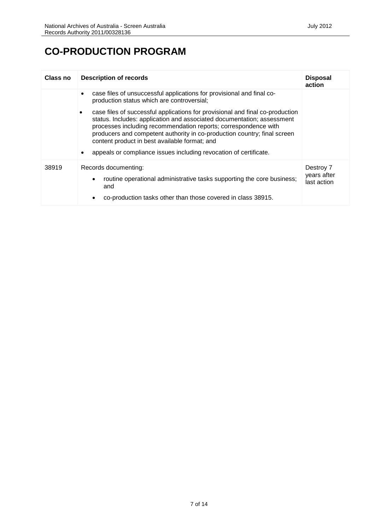#### **CO-PRODUCTION PROGRAM**

| Class no | <b>Description of records</b>                                                                                                                                                                                                                                                                                                                                                                                                          | <b>Disposal</b><br>action               |
|----------|----------------------------------------------------------------------------------------------------------------------------------------------------------------------------------------------------------------------------------------------------------------------------------------------------------------------------------------------------------------------------------------------------------------------------------------|-----------------------------------------|
|          | case files of unsuccessful applications for provisional and final co-<br>$\bullet$<br>production status which are controversial;                                                                                                                                                                                                                                                                                                       |                                         |
|          | case files of successful applications for provisional and final co-production<br>٠<br>status. Includes: application and associated documentation; assessment<br>processes including recommendation reports; correspondence with<br>producers and competent authority in co-production country; final screen<br>content product in best available format; and<br>appeals or compliance issues including revocation of certificate.<br>٠ |                                         |
| 38919    | Records documenting:<br>routine operational administrative tasks supporting the core business;<br>٠<br>and<br>co-production tasks other than those covered in class 38915.                                                                                                                                                                                                                                                             | Destroy 7<br>years after<br>last action |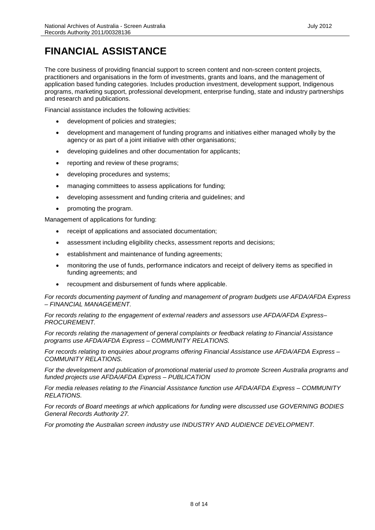### **FINANCIAL ASSISTANCE**

The core business of providing financial support to screen content and non-screen content projects, practitioners and organisations in the form of investments, grants and loans, and the management of application based funding categories. Includes production investment, development support, Indigenous programs, marketing support, professional development, enterprise funding, state and industry partnerships and research and publications.

Financial assistance includes the following activities:

- development of policies and strategies;
- development and management of funding programs and initiatives either managed wholly by the agency or as part of a joint initiative with other organisations;
- developing guidelines and other documentation for applicants;
- reporting and review of these programs;
- developing procedures and systems;
- managing committees to assess applications for funding;
- developing assessment and funding criteria and guidelines; and
- promoting the program.

Management of applications for funding:

- receipt of applications and associated documentation;
- assessment including eligibility checks, assessment reports and decisions;
- establishment and maintenance of funding agreements;
- monitoring the use of funds, performance indicators and receipt of delivery items as specified in funding agreements; and
- recoupment and disbursement of funds where applicable.

*For records documenting payment of funding and management of program budgets use AFDA/AFDA Express – FINANCIAL MANAGEMENT.*

*For records relating to the engagement of external readers and assessors use AFDA/AFDA Express– PROCUREMENT.*

*For records relating the management of general complaints or feedback relating to Financial Assistance programs use AFDA/AFDA Express – COMMUNITY RELATIONS.*

*For records relating to enquiries about programs offering Financial Assistance use AFDA/AFDA Express – COMMUNITY RELATIONS.*

*For the development and publication of promotional material used to promote Screen Australia programs and funded projects use AFDA/AFDA Express – PUBLICATION*

*For media releases relating to the Financial Assistance function use AFDA/AFDA Express – COMMUNITY RELATIONS.*

*For records of Board meetings at which applications for funding were discussed use GOVERNING BODIES General Records Authority 27.*

*For promoting the Australian screen industry use INDUSTRY AND AUDIENCE DEVELOPMENT.*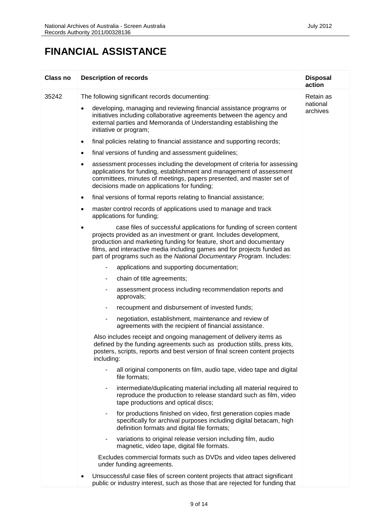#### **FINANCIAL ASSISTANCE**

| Class no | <b>Description of records</b>                                                                                                                                                                                                                                                                                                                                                    | <b>Disposal</b><br>action |
|----------|----------------------------------------------------------------------------------------------------------------------------------------------------------------------------------------------------------------------------------------------------------------------------------------------------------------------------------------------------------------------------------|---------------------------|
| 35242    | The following significant records documenting:                                                                                                                                                                                                                                                                                                                                   | Retain as                 |
|          | developing, managing and reviewing financial assistance programs or<br>٠<br>initiatives including collaborative agreements between the agency and<br>external parties and Memoranda of Understanding establishing the<br>initiative or program;                                                                                                                                  | national<br>archives      |
|          | final policies relating to financial assistance and supporting records;<br>$\bullet$                                                                                                                                                                                                                                                                                             |                           |
|          | final versions of funding and assessment guidelines;<br>٠                                                                                                                                                                                                                                                                                                                        |                           |
|          | assessment processes including the development of criteria for assessing<br>٠<br>applications for funding, establishment and management of assessment<br>committees, minutes of meetings, papers presented, and master set of<br>decisions made on applications for funding;                                                                                                     |                           |
|          | final versions of formal reports relating to financial assistance;<br>$\bullet$                                                                                                                                                                                                                                                                                                  |                           |
|          | master control records of applications used to manage and track<br>٠<br>applications for funding;                                                                                                                                                                                                                                                                                |                           |
|          | case files of successful applications for funding of screen content<br>$\bullet$<br>projects provided as an investment or grant. Includes development,<br>production and marketing funding for feature, short and documentary<br>films, and interactive media including games and for projects funded as<br>part of programs such as the National Documentary Program. Includes: |                           |
|          | applications and supporting documentation;<br>۰.                                                                                                                                                                                                                                                                                                                                 |                           |
|          | chain of title agreements;<br>۰                                                                                                                                                                                                                                                                                                                                                  |                           |
|          | assessment process including recommendation reports and<br>۰<br>approvals;                                                                                                                                                                                                                                                                                                       |                           |
|          | recoupment and disbursement of invested funds;<br>$\blacksquare$                                                                                                                                                                                                                                                                                                                 |                           |
|          | negotiation, establishment, maintenance and review of<br>۰<br>agreements with the recipient of financial assistance.                                                                                                                                                                                                                                                             |                           |
|          | Also includes receipt and ongoing management of delivery items as<br>defined by the funding agreements such as production stills, press kits,<br>posters, scripts, reports and best version of final screen content projects<br>including:                                                                                                                                       |                           |
|          | all original components on film, audio tape, video tape and digital<br>file formats;                                                                                                                                                                                                                                                                                             |                           |
|          | intermediate/duplicating material including all material required to<br>۰<br>reproduce the production to release standard such as film, video<br>tape productions and optical discs;                                                                                                                                                                                             |                           |
|          | for productions finished on video, first generation copies made<br>$\blacksquare$<br>specifically for archival purposes including digital betacam, high<br>definition formats and digital file formats;                                                                                                                                                                          |                           |
|          | variations to original release version including film, audio<br>۰.<br>magnetic, video tape, digital file formats.                                                                                                                                                                                                                                                                |                           |
|          | Excludes commercial formats such as DVDs and video tapes delivered<br>under funding agreements.                                                                                                                                                                                                                                                                                  |                           |
|          | Unsuccessful case files of screen content projects that attract significant<br>$\bullet$<br>public or industry interest, such as those that are rejected for funding that                                                                                                                                                                                                        |                           |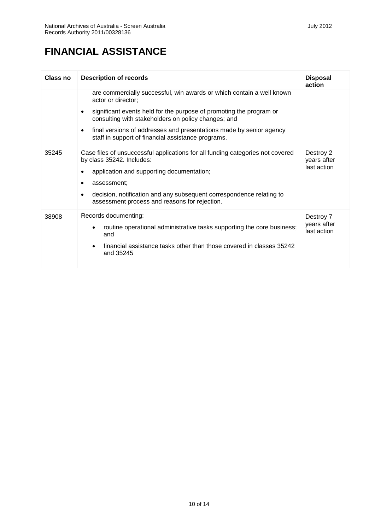#### **FINANCIAL ASSISTANCE**

| Class no | <b>Description of records</b>                                                                                                                                                                                                                                                                                                                                                    | <b>Disposal</b><br>action               |
|----------|----------------------------------------------------------------------------------------------------------------------------------------------------------------------------------------------------------------------------------------------------------------------------------------------------------------------------------------------------------------------------------|-----------------------------------------|
|          | are commercially successful, win awards or which contain a well known<br>actor or director;<br>significant events held for the purpose of promoting the program or<br>$\bullet$<br>consulting with stakeholders on policy changes; and<br>final versions of addresses and presentations made by senior agency<br>$\bullet$<br>staff in support of financial assistance programs. |                                         |
| 35245    | Case files of unsuccessful applications for all funding categories not covered<br>by class 35242. Includes:<br>application and supporting documentation;<br>٠<br>assessment:<br>٠<br>decision, notification and any subsequent correspondence relating to<br>assessment process and reasons for rejection.                                                                       | Destroy 2<br>years after<br>last action |
| 38908    | Records documenting:<br>routine operational administrative tasks supporting the core business;<br>and<br>financial assistance tasks other than those covered in classes 35242<br>$\bullet$<br>and 35245                                                                                                                                                                          | Destroy 7<br>years after<br>last action |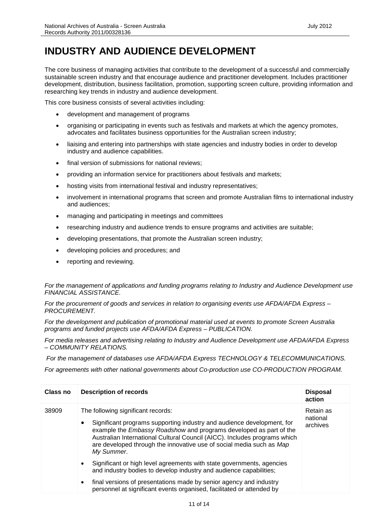The core business of managing activities that contribute to the development of a successful and commercially sustainable screen industry and that encourage audience and practitioner development. Includes practitioner development, distribution, business facilitation, promotion, supporting screen culture, providing information and researching key trends in industry and audience development.

This core business consists of several activities including:

- development and management of programs
- organising or participating in events such as festivals and markets at which the agency promotes, advocates and facilitates business opportunities for the Australian screen industry;
- liaising and entering into partnerships with state agencies and industry bodies in order to develop industry and audience capabilities.
- final version of submissions for national reviews;
- providing an information service for practitioners about festivals and markets;
- hosting visits from international festival and industry representatives;
- involvement in international programs that screen and promote Australian films to international industry and audiences;
- managing and participating in meetings and committees
- researching industry and audience trends to ensure programs and activities are suitable;
- developing presentations, that promote the Australian screen industry;
- developing policies and procedures; and
- reporting and reviewing.

*For the management of applications and funding programs relating to Industry and Audience Development use FINANCIAL ASSISTANCE.*

*For the procurement of goods and services in relation to organising events use AFDA/AFDA Express – PROCUREMENT.*

*For the development and publication of promotional material used at events to promote Screen Australia programs and funded projects use AFDA/AFDA Express – PUBLICATION.*

*For media releases and advertising relating to Industry and Audience Development use AFDA/AFDA Express – COMMUNITY RELATIONS.*

*For the management of databases use AFDA/AFDA Express TECHNOLOGY & TELECOMMUNICATIONS.*

*For agreements with other national governments about Co-production use CO-PRODUCTION PROGRAM.*

| Class no | <b>Description of records</b>                                                                                                                                                                                                                                                                                                                              | <b>Disposal</b><br>action         |
|----------|------------------------------------------------------------------------------------------------------------------------------------------------------------------------------------------------------------------------------------------------------------------------------------------------------------------------------------------------------------|-----------------------------------|
| 38909    | The following significant records:<br>Significant programs supporting industry and audience development, for<br>٠<br>example the Embassy Roadshow and programs developed as part of the<br>Australian International Cultural Council (AICC). Includes programs which<br>are developed through the innovative use of social media such as Map<br>My Summer. | Retain as<br>national<br>archives |
|          | Significant or high level agreements with state governments, agencies<br>and industry bodies to develop industry and audience capabilities;                                                                                                                                                                                                                |                                   |
|          | final versions of presentations made by senior agency and industry<br>$\bullet$<br>personnel at significant events organised, facilitated or attended by                                                                                                                                                                                                   |                                   |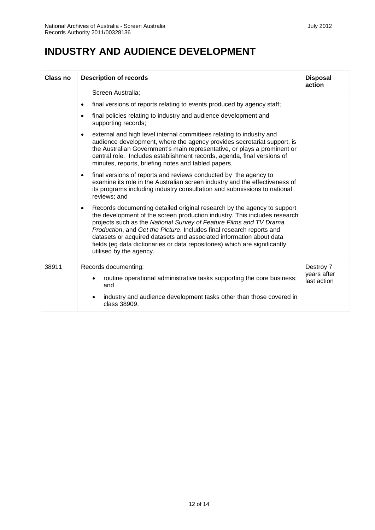#### **INDUSTRY AND AUDIENCE DEVELOPMENT**

| Class no | <b>Description of records</b>                                                                                                                                                                                                                                                                                                                                                                                                                                                                                                                                                                                                                                                                                                                                                                                                                                                                                                                                                                                                                                                                                                                                                                                                                                                                                                                                 | <b>Disposal</b><br>action               |
|----------|---------------------------------------------------------------------------------------------------------------------------------------------------------------------------------------------------------------------------------------------------------------------------------------------------------------------------------------------------------------------------------------------------------------------------------------------------------------------------------------------------------------------------------------------------------------------------------------------------------------------------------------------------------------------------------------------------------------------------------------------------------------------------------------------------------------------------------------------------------------------------------------------------------------------------------------------------------------------------------------------------------------------------------------------------------------------------------------------------------------------------------------------------------------------------------------------------------------------------------------------------------------------------------------------------------------------------------------------------------------|-----------------------------------------|
|          | Screen Australia;<br>final versions of reports relating to events produced by agency staff;<br>$\bullet$<br>final policies relating to industry and audience development and<br>$\bullet$<br>supporting records;<br>external and high level internal committees relating to industry and<br>$\bullet$<br>audience development, where the agency provides secretariat support, is<br>the Australian Government's main representative, or plays a prominent or<br>central role. Includes establishment records, agenda, final versions of<br>minutes, reports, briefing notes and tabled papers.<br>final versions of reports and reviews conducted by the agency to<br>$\bullet$<br>examine its role in the Australian screen industry and the effectiveness of<br>its programs including industry consultation and submissions to national<br>reviews; and<br>Records documenting detailed original research by the agency to support<br>$\bullet$<br>the development of the screen production industry. This includes research<br>projects such as the National Survey of Feature Films and TV Drama<br>Production, and Get the Picture. Includes final research reports and<br>datasets or acquired datasets and associated information about data<br>fields (eg data dictionaries or data repositories) which are significantly<br>utilised by the agency. |                                         |
| 38911    | Records documenting:<br>routine operational administrative tasks supporting the core business;<br>and<br>industry and audience development tasks other than those covered in<br>$\bullet$<br>class 38909.                                                                                                                                                                                                                                                                                                                                                                                                                                                                                                                                                                                                                                                                                                                                                                                                                                                                                                                                                                                                                                                                                                                                                     | Destroy 7<br>years after<br>last action |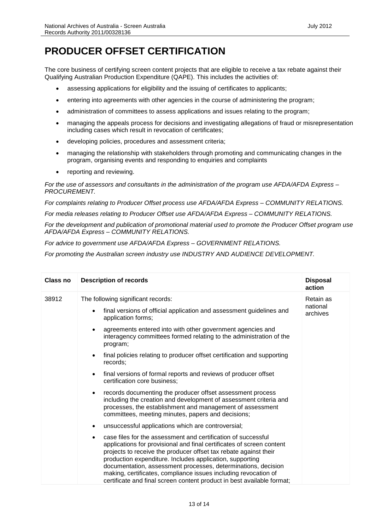#### **PRODUCER OFFSET CERTIFICATION**

The core business of certifying screen content projects that are eligible to receive a tax rebate against their Qualifying Australian Production Expenditure (QAPE). This includes the activities of:

- assessing applications for eligibility and the issuing of certificates to applicants;
- entering into agreements with other agencies in the course of administering the program;
- administration of committees to assess applications and issues relating to the program;
- managing the appeals process for decisions and investigating allegations of fraud or misrepresentation including cases which result in revocation of certificates;
- developing policies, procedures and assessment criteria;
- managing the relationship with stakeholders through promoting and communicating changes in the program, organising events and responding to enquiries and complaints
- reporting and reviewing.

*For the use of assessors and consultants in the administration of the program use AFDA/AFDA Express – PROCUREMENT.*

*For complaints relating to Producer Offset process use AFDA/AFDA Express – COMMUNITY RELATIONS.*

*For media releases relating to Producer Offset use AFDA/AFDA Express – COMMUNITY RELATIONS.*

*For the development and publication of promotional material used to promote the Producer Offset program use AFDA/AFDA Express – COMMUNITY RELATIONS.*

*For advice to government use AFDA/AFDA Express – GOVERNMENT RELATIONS.*

*For promoting the Australian screen industry use INDUSTRY AND AUDIENCE DEVELOPMENT.*

| Class no | <b>Description of records</b>                                                                                                                                                                                                                                                                                                                                                                                                                                                        | <b>Disposal</b><br>action |
|----------|--------------------------------------------------------------------------------------------------------------------------------------------------------------------------------------------------------------------------------------------------------------------------------------------------------------------------------------------------------------------------------------------------------------------------------------------------------------------------------------|---------------------------|
| 38912    | The following significant records:                                                                                                                                                                                                                                                                                                                                                                                                                                                   | Retain as                 |
|          | final versions of official application and assessment guidelines and<br>$\bullet$<br>application forms;                                                                                                                                                                                                                                                                                                                                                                              | national<br>archives      |
|          | agreements entered into with other government agencies and<br>٠<br>interagency committees formed relating to the administration of the<br>program;                                                                                                                                                                                                                                                                                                                                   |                           |
|          | final policies relating to producer offset certification and supporting<br>$\bullet$<br>records;                                                                                                                                                                                                                                                                                                                                                                                     |                           |
|          | final versions of formal reports and reviews of producer offset<br>$\bullet$<br>certification core business;                                                                                                                                                                                                                                                                                                                                                                         |                           |
|          | records documenting the producer offset assessment process<br>$\bullet$<br>including the creation and development of assessment criteria and<br>processes, the establishment and management of assessment<br>committees, meeting minutes, papers and decisions;                                                                                                                                                                                                                      |                           |
|          | unsuccessful applications which are controversial;<br>$\bullet$                                                                                                                                                                                                                                                                                                                                                                                                                      |                           |
|          | case files for the assessment and certification of successful<br>applications for provisional and final certificates of screen content<br>projects to receive the producer offset tax rebate against their<br>production expenditure. Includes application, supporting<br>documentation, assessment processes, determinations, decision<br>making, certificates, compliance issues including revocation of<br>certificate and final screen content product in best available format; |                           |